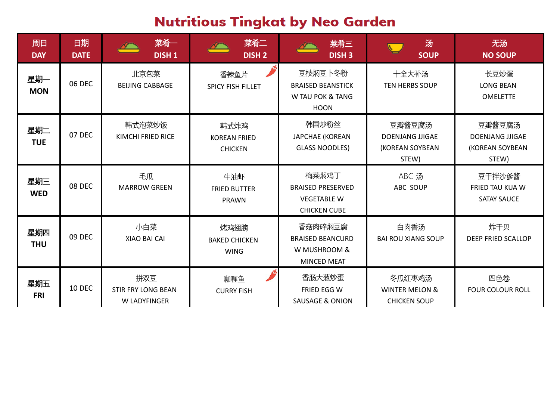## **Nutritious Tingkat by Neo Garden**

| 周日<br><b>DAY</b>  | 日期<br><b>DATE</b> | 菜肴一<br><b>DISH1</b>                              | 菜肴二<br><b>DISH 2</b>                          | 菜肴三<br><b>DISH 3</b>                                                           | 汤<br><b>SOUP</b>                                             | 无汤<br><b>NO SOUP</b>                                         |
|-------------------|-------------------|--------------------------------------------------|-----------------------------------------------|--------------------------------------------------------------------------------|--------------------------------------------------------------|--------------------------------------------------------------|
| 星期一<br><b>MON</b> | 06 DEC            | 北京包菜<br><b>BEIJING CABBAGE</b>                   | 香辣鱼片<br><b>SPICY FISH FILLET</b>              | 豆枝焖豆卜冬粉<br><b>BRAISED BEANSTICK</b><br>W TAU POK & TANG<br><b>HOON</b>         | 十全大补汤<br><b>TEN HERBS SOUP</b>                               | 长豆炒蛋<br><b>LONG BEAN</b><br><b>OMELETTE</b>                  |
| 星期二<br><b>TUE</b> | 07 DEC            | 韩式泡菜炒饭<br><b>KIMCHI FRIED RICE</b>               | 韩式炸鸡<br><b>KOREAN FRIED</b><br><b>CHICKEN</b> | 韩国炒粉丝<br><b>JAPCHAE (KOREAN</b><br><b>GLASS NOODLES)</b>                       | 豆瓣酱豆腐汤<br><b>DOENJANG JJIGAE</b><br>(KOREAN SOYBEAN<br>STEW) | 豆瓣酱豆腐汤<br><b>DOENJANG JJIGAE</b><br>(KOREAN SOYBEAN<br>STEW) |
| 星期三<br><b>WED</b> | 08 DEC            | 毛瓜<br><b>MARROW GREEN</b>                        | 牛油虾<br><b>FRIED BUTTER</b><br><b>PRAWN</b>    | 梅菜焖鸡丁<br><b>BRAISED PRESERVED</b><br><b>VEGETABLE W</b><br><b>CHICKEN CUBE</b> | ABC 汤<br>ABC SOUP                                            | 豆干拌沙爹酱<br>FRIED TAU KUA W<br><b>SATAY SAUCE</b>              |
| 星期四<br><b>THU</b> | <b>09 DEC</b>     | 小白菜<br>XIAO BAI CAI                              | 烤鸡翅膀<br><b>BAKED CHICKEN</b><br><b>WING</b>   | 香菇肉碎焖豆腐<br><b>BRAISED BEANCURD</b><br>W MUSHROOM &<br><b>MINCED MEAT</b>       | 白肉香汤<br><b>BAI ROU XIANG SOUP</b>                            | 炸干贝<br><b>DEEP FRIED SCALLOP</b>                             |
| 星期五<br><b>FRI</b> | <b>10 DEC</b>     | 拼双豆<br><b>STIR FRY LONG BEAN</b><br>W LADYFINGER | 咖喱鱼<br><b>CURRY FISH</b>                      | 香肠大葱炒蛋<br>FRIED EGG W<br><b>SAUSAGE &amp; ONION</b>                            | 冬瓜红枣鸡汤<br><b>WINTER MELON &amp;</b><br><b>CHICKEN SOUP</b>   | 四色卷<br><b>FOUR COLOUR ROLL</b>                               |